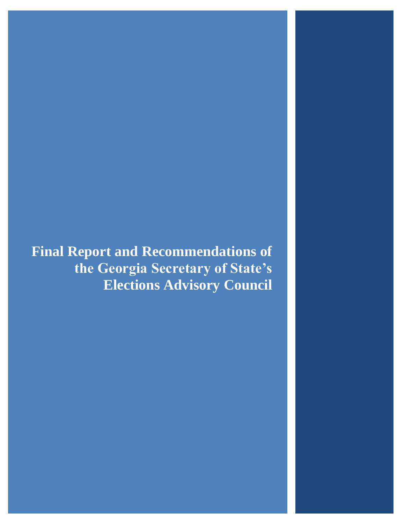**Final Report and Recommendations of the Georgia Secretary of State's Elections Advisory Council**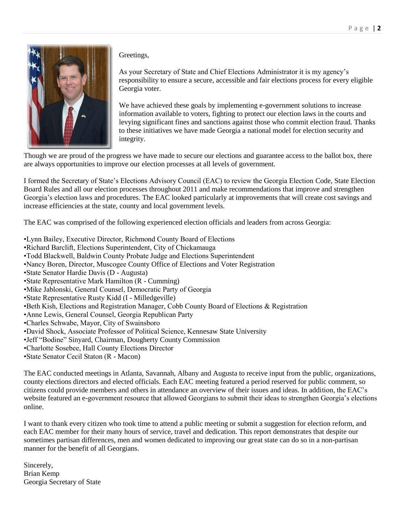

Greetings,

As your Secretary of State and Chief Elections Administrator it is my agency's responsibility to ensure a secure, accessible and fair elections process for every eligible Georgia voter.

We have achieved these goals by implementing e-government solutions to increase information available to voters, fighting to protect our election laws in the courts and levying significant fines and sanctions against those who commit election fraud. Thanks to these initiatives we have made Georgia a national model for election security and integrity.

Though we are proud of the progress we have made to secure our elections and guarantee access to the ballot box, there are always opportunities to improve our election processes at all levels of government.

I formed the Secretary of State's Elections Advisory Council (EAC) to review the Georgia Election Code, State Election Board Rules and all our election processes throughout 2011 and make recommendations that improve and strengthen Georgia's election laws and procedures. The EAC looked particularly at improvements that will create cost savings and increase efficiencies at the state, county and local government levels.

The EAC was comprised of the following experienced election officials and leaders from across Georgia:

•Lynn Bailey, Executive Director, Richmond County Board of Elections •Richard Barclift, Elections Superintendent, City of Chickamauga •Todd Blackwell, Baldwin County Probate Judge and Elections Superintendent •Nancy Boren, Director, Muscogee County Office of Elections and Voter Registration •State Senator Hardie Davis (D - Augusta) •State Representative Mark Hamilton (R - Cumming) •Mike Jablonski, General Counsel, Democratic Party of Georgia •State Representative Rusty Kidd (I - Milledgeville) •Beth Kish, Elections and Registration Manager, Cobb County Board of Elections & Registration •Anne Lewis, General Counsel, Georgia Republican Party •Charles Schwabe, Mayor, City of Swainsboro •David Shock, Associate Professor of Political Science, Kennesaw State University •Jeff "Bodine" Sinyard, Chairman, Dougherty County Commission •Charlotte Sosebee, Hall County Elections Director •State Senator Cecil Staton (R - Macon)

The EAC conducted meetings in Atlanta, Savannah, Albany and Augusta to receive input from the public, organizations, county elections directors and elected officials. Each EAC meeting featured a period reserved for public comment, so citizens could provide members and others in attendance an overview of their issues and ideas. In addition, the EAC's website featured an e-government resource that allowed Georgians to submit their ideas to strengthen Georgia's elections

I want to thank every citizen who took time to attend a public meeting or submit a suggestion for election reform, and each EAC member for their many hours of service, travel and dedication. This report demonstrates that despite our sometimes partisan differences, men and women dedicated to improving our great state can do so in a non-partisan manner for the benefit of all Georgians.

Sincerely, Brian Kemp Georgia Secretary of State

online.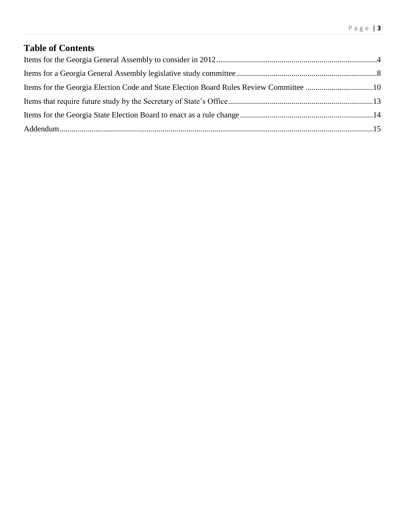# **Table of Contents**

| Items for the Georgia Election Code and State Election Board Rules Review Committee 10 |  |
|----------------------------------------------------------------------------------------|--|
|                                                                                        |  |
|                                                                                        |  |
|                                                                                        |  |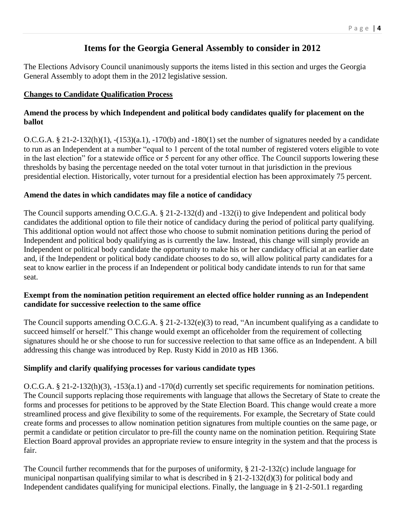# **Items for the Georgia General Assembly to consider in 2012**

The Elections Advisory Council unanimously supports the items listed in this section and urges the Georgia General Assembly to adopt them in the 2012 legislative session.

#### **Changes to Candidate Qualification Process**

#### **Amend the process by which Independent and political body candidates qualify for placement on the ballot**

O.C.G.A.  $\S 21-2-132(h)(1)$ ,  $-(153)(a.1)$ ,  $-170(b)$  and  $-180(1)$  set the number of signatures needed by a candidate to run as an Independent at a number "equal to 1 percent of the total number of registered voters eligible to vote in the last election" for a statewide office or 5 percent for any other office. The Council supports lowering these thresholds by basing the percentage needed on the total voter turnout in that jurisdiction in the previous presidential election. Historically, voter turnout for a presidential election has been approximately 75 percent.

#### **Amend the dates in which candidates may file a notice of candidacy**

The Council supports amending O.C.G.A. § 21-2-132(d) and -132(i) to give Independent and political body candidates the additional option to file their notice of candidacy during the period of political party qualifying. This additional option would not affect those who choose to submit nomination petitions during the period of Independent and political body qualifying as is currently the law. Instead, this change will simply provide an Independent or political body candidate the opportunity to make his or her candidacy official at an earlier date and, if the Independent or political body candidate chooses to do so, will allow political party candidates for a seat to know earlier in the process if an Independent or political body candidate intends to run for that same seat.

#### **Exempt from the nomination petition requirement an elected office holder running as an Independent candidate for successive reelection to the same office**

The Council supports amending O.C.G.A. § 21-2-132(e)(3) to read, "An incumbent qualifying as a candidate to succeed himself or herself." This change would exempt an officeholder from the requirement of collecting signatures should he or she choose to run for successive reelection to that same office as an Independent. A bill addressing this change was introduced by Rep. Rusty Kidd in 2010 as HB 1366.

## **Simplify and clarify qualifying processes for various candidate types**

O.C.G.A. § 21-2-132(h)(3), -153(a.1) and -170(d) currently set specific requirements for nomination petitions. The Council supports replacing those requirements with language that allows the Secretary of State to create the forms and processes for petitions to be approved by the State Election Board. This change would create a more streamlined process and give flexibility to some of the requirements. For example, the Secretary of State could create forms and processes to allow nomination petition signatures from multiple counties on the same page, or permit a candidate or petition circulator to pre-fill the county name on the nomination petition. Requiring State Election Board approval provides an appropriate review to ensure integrity in the system and that the process is fair.

The Council further recommends that for the purposes of uniformity, § 21-2-132(c) include language for municipal nonpartisan qualifying similar to what is described in § 21-2-132(d)(3) for political body and Independent candidates qualifying for municipal elections. Finally, the language in § 21-2-501.1 regarding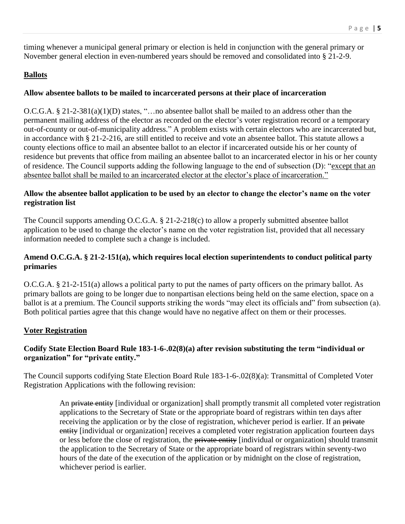timing whenever a municipal general primary or election is held in conjunction with the general primary or November general election in even-numbered years should be removed and consolidated into § 21-2-9.

#### **Ballots**

#### **Allow absentee ballots to be mailed to incarcerated persons at their place of incarceration**

O.C.G.A. § 21-2-381(a)(1)(D) states, "…no absentee ballot shall be mailed to an address other than the permanent mailing address of the elector as recorded on the elector's voter registration record or a temporary out-of-county or out-of-municipality address." A problem exists with certain electors who are incarcerated but, in accordance with § 21-2-216, are still entitled to receive and vote an absentee ballot. This statute allows a county elections office to mail an absentee ballot to an elector if incarcerated outside his or her county of residence but prevents that office from mailing an absentee ballot to an incarcerated elector in his or her county of residence. The Council supports adding the following language to the end of subsection (D): "except that an absentee ballot shall be mailed to an incarcerated elector at the elector's place of incarceration."

#### **Allow the absentee ballot application to be used by an elector to change the elector's name on the voter registration list**

The Council supports amending O.C.G.A. § 21-2-218(c) to allow a properly submitted absentee ballot application to be used to change the elector's name on the voter registration list, provided that all necessary information needed to complete such a change is included.

#### **Amend O.C.G.A. § 21-2-151(a), which requires local election superintendents to conduct political party primaries**

O.C.G.A. § 21-2-151(a) allows a political party to put the names of party officers on the primary ballot. As primary ballots are going to be longer due to nonpartisan elections being held on the same election, space on a ballot is at a premium. The Council supports striking the words "may elect its officials and" from subsection (a). Both political parties agree that this change would have no negative affect on them or their processes.

#### **Voter Registration**

#### **Codify State Election Board Rule 183-1-6-.02(8)(a) after revision substituting the term "individual or organization" for "private entity."**

The Council supports codifying State Election Board Rule 183-1-6-.02(8)(a): Transmittal of Completed Voter Registration Applications with the following revision:

> An private entity [individual or organization] shall promptly transmit all completed voter registration applications to the Secretary of State or the appropriate board of registrars within ten days after receiving the application or by the close of registration, whichever period is earlier. If an private entity [individual or organization] receives a completed voter registration application fourteen days or less before the close of registration, the private entity [individual or organization] should transmit the application to the Secretary of State or the appropriate board of registrars within seventy-two hours of the date of the execution of the application or by midnight on the close of registration, whichever period is earlier.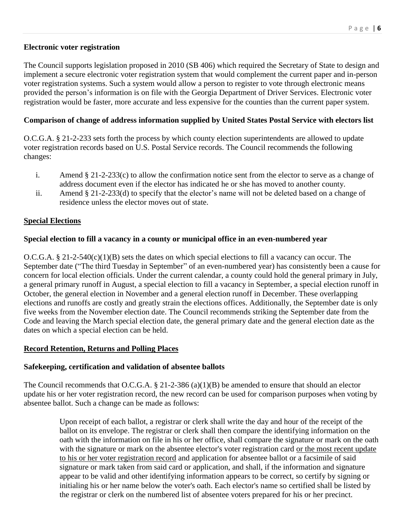#### **Electronic voter registration**

The Council supports legislation proposed in 2010 (SB 406) which required the Secretary of State to design and implement a secure electronic voter registration system that would complement the current paper and in-person voter registration systems. Such a system would allow a person to register to vote through electronic means provided the person's information is on file with the Georgia Department of Driver Services. Electronic voter registration would be faster, more accurate and less expensive for the counties than the current paper system.

### **Comparison of change of address information supplied by United States Postal Service with electors list**

O.C.G.A. § 21-2-233 sets forth the process by which county election superintendents are allowed to update voter registration records based on U.S. Postal Service records. The Council recommends the following changes:

- i. Amend § 21-2-233(c) to allow the confirmation notice sent from the elector to serve as a change of address document even if the elector has indicated he or she has moved to another county.
- ii. Amend § 21-2-233(d) to specify that the elector's name will not be deleted based on a change of residence unless the elector moves out of state.

## **Special Elections**

#### **Special election to fill a vacancy in a county or municipal office in an even-numbered year**

O.C.G.A. § 21-2-540(c)(1)(B) sets the dates on which special elections to fill a vacancy can occur. The September date ("The third Tuesday in September" of an even-numbered year) has consistently been a cause for concern for local election officials. Under the current calendar, a county could hold the general primary in July, a general primary runoff in August, a special election to fill a vacancy in September, a special election runoff in October, the general election in November and a general election runoff in December. These overlapping elections and runoffs are costly and greatly strain the elections offices. Additionally, the September date is only five weeks from the November election date. The Council recommends striking the September date from the Code and leaving the March special election date, the general primary date and the general election date as the dates on which a special election can be held.

#### **Record Retention, Returns and Polling Places**

#### **Safekeeping, certification and validation of absentee ballots**

The Council recommends that O.C.G.A. § 21-2-386 (a)(1)(B) be amended to ensure that should an elector update his or her voter registration record, the new record can be used for comparison purposes when voting by absentee ballot. Such a change can be made as follows:

> Upon receipt of each ballot, a registrar or clerk shall write the day and hour of the receipt of the ballot on its envelope. The registrar or clerk shall then compare the identifying information on the oath with the information on file in his or her office, shall compare the signature or mark on the oath with the signature or mark on the absentee elector's voter registration card or the most recent update to his or her voter registration record and application for absentee ballot or a facsimile of said signature or mark taken from said card or application, and shall, if the information and signature appear to be valid and other identifying information appears to be correct, so certify by signing or initialing his or her name below the voter's oath. Each elector's name so certified shall be listed by the registrar or clerk on the numbered list of absentee voters prepared for his or her precinct.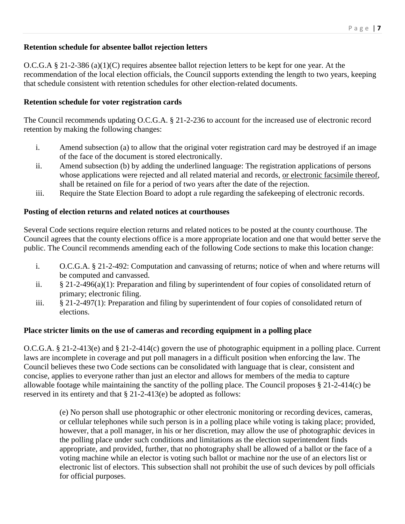## **Retention schedule for absentee ballot rejection letters**

O.C.G.A § 21-2-386 (a)(1)(C) requires absentee ballot rejection letters to be kept for one year. At the recommendation of the local election officials, the Council supports extending the length to two years, keeping that schedule consistent with retention schedules for other election-related documents.

#### **Retention schedule for voter registration cards**

The Council recommends updating O.C.G.A. § 21-2-236 to account for the increased use of electronic record retention by making the following changes:

- i. Amend subsection (a) to allow that the original voter registration card may be destroyed if an image of the face of the document is stored electronically.
- ii. Amend subsection (b) by adding the underlined language: The registration applications of persons whose applications were rejected and all related material and records, <u>or electronic facsimile thereof</u>, shall be retained on file for a period of two years after the date of the rejection.
- iii. Require the State Election Board to adopt a rule regarding the safekeeping of electronic records.

#### **Posting of election returns and related notices at courthouses**

Several Code sections require election returns and related notices to be posted at the county courthouse. The Council agrees that the county elections office is a more appropriate location and one that would better serve the public. The Council recommends amending each of the following Code sections to make this location change:

- i. O.C.G.A. § 21-2-492: Computation and canvassing of returns; notice of when and where returns will be computed and canvassed.
- ii. § 21-2-496(a)(1): Preparation and filing by superintendent of four copies of consolidated return of primary; electronic filing.
- iii. § 21-2-497(1): Preparation and filing by superintendent of four copies of consolidated return of elections.

#### **Place stricter limits on the use of cameras and recording equipment in a polling place**

O.C.G.A. § 21-2-413(e) and § 21-2-414(c) govern the use of photographic equipment in a polling place. Current laws are incomplete in coverage and put poll managers in a difficult position when enforcing the law. The Council believes these two Code sections can be consolidated with language that is clear, consistent and concise, applies to everyone rather than just an elector and allows for members of the media to capture allowable footage while maintaining the sanctity of the polling place. The Council proposes § 21-2-414(c) be reserved in its entirety and that § 21-2-413(e) be adopted as follows:

> (e) No person shall use photographic or other electronic monitoring or recording devices, cameras, or cellular telephones while such person is in a polling place while voting is taking place; provided, however, that a poll manager, in his or her discretion, may allow the use of photographic devices in the polling place under such conditions and limitations as the election superintendent finds appropriate, and provided, further, that no photography shall be allowed of a ballot or the face of a voting machine while an elector is voting such ballot or machine nor the use of an electors list or electronic list of electors. This subsection shall not prohibit the use of such devices by poll officials for official purposes.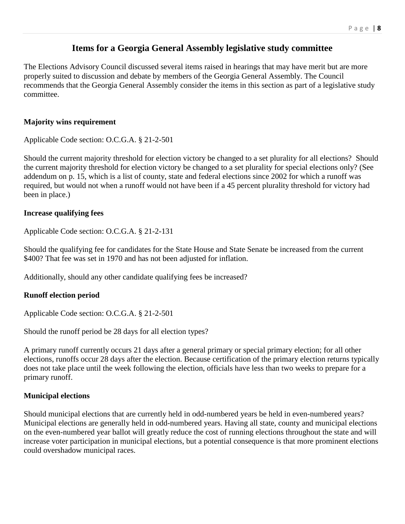## **Items for a Georgia General Assembly legislative study committee**

The Elections Advisory Council discussed several items raised in hearings that may have merit but are more properly suited to discussion and debate by members of the Georgia General Assembly. The Council recommends that the Georgia General Assembly consider the items in this section as part of a legislative study committee.

#### **Majority wins requirement**

Applicable Code section: O.C.G.A. § 21-2-501

Should the current majority threshold for election victory be changed to a set plurality for all elections? Should the current majority threshold for election victory be changed to a set plurality for special elections only? (See addendum on p. 15, which is a list of county, state and federal elections since 2002 for which a runoff was required, but would not when a runoff would not have been if a 45 percent plurality threshold for victory had been in place.)

#### **Increase qualifying fees**

Applicable Code section: O.C.G.A. § 21-2-131

Should the qualifying fee for candidates for the State House and State Senate be increased from the current \$400? That fee was set in 1970 and has not been adjusted for inflation.

Additionally, should any other candidate qualifying fees be increased?

#### **Runoff election period**

Applicable Code section: O.C.G.A. § 21-2-501

Should the runoff period be 28 days for all election types?

A primary runoff currently occurs 21 days after a general primary or special primary election; for all other elections, runoffs occur 28 days after the election. Because certification of the primary election returns typically does not take place until the week following the election, officials have less than two weeks to prepare for a primary runoff.

#### **Municipal elections**

Should municipal elections that are currently held in odd-numbered years be held in even-numbered years? Municipal elections are generally held in odd-numbered years. Having all state, county and municipal elections on the even-numbered year ballot will greatly reduce the cost of running elections throughout the state and will increase voter participation in municipal elections, but a potential consequence is that more prominent elections could overshadow municipal races.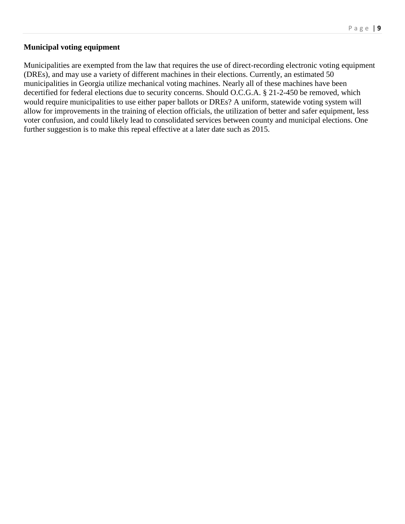#### **Municipal voting equipment**

Municipalities are exempted from the law that requires the use of direct-recording electronic voting equipment (DREs), and may use a variety of different machines in their elections. Currently, an estimated 50 municipalities in Georgia utilize mechanical voting machines. Nearly all of these machines have been decertified for federal elections due to security concerns. Should O.C.G.A. § 21-2-450 be removed, which would require municipalities to use either paper ballots or DREs? A uniform, statewide voting system will allow for improvements in the training of election officials, the utilization of better and safer equipment, less voter confusion, and could likely lead to consolidated services between county and municipal elections. One further suggestion is to make this repeal effective at a later date such as 2015.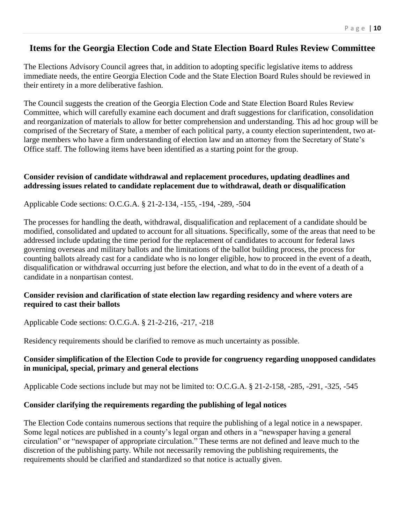## **Items for the Georgia Election Code and State Election Board Rules Review Committee**

The Elections Advisory Council agrees that, in addition to adopting specific legislative items to address immediate needs, the entire Georgia Election Code and the State Election Board Rules should be reviewed in their entirety in a more deliberative fashion.

The Council suggests the creation of the Georgia Election Code and State Election Board Rules Review Committee, which will carefully examine each document and draft suggestions for clarification, consolidation and reorganization of materials to allow for better comprehension and understanding. This ad hoc group will be comprised of the Secretary of State, a member of each political party, a county election superintendent, two atlarge members who have a firm understanding of election law and an attorney from the Secretary of State's Office staff. The following items have been identified as a starting point for the group.

#### **Consider revision of candidate withdrawal and replacement procedures, updating deadlines and addressing issues related to candidate replacement due to withdrawal, death or disqualification**

Applicable Code sections: O.C.G.A. § 21-2-134, -155, -194, -289, -504

The processes for handling the death, withdrawal, disqualification and replacement of a candidate should be modified, consolidated and updated to account for all situations. Specifically, some of the areas that need to be addressed include updating the time period for the replacement of candidates to account for federal laws governing overseas and military ballots and the limitations of the ballot building process, the process for counting ballots already cast for a candidate who is no longer eligible, how to proceed in the event of a death, disqualification or withdrawal occurring just before the election, and what to do in the event of a death of a candidate in a nonpartisan contest.

#### **Consider revision and clarification of state election law regarding residency and where voters are required to cast their ballots**

Applicable Code sections: O.C.G.A. § 21-2-216, -217, -218

Residency requirements should be clarified to remove as much uncertainty as possible.

#### **Consider simplification of the Election Code to provide for congruency regarding unopposed candidates in municipal, special, primary and general elections**

Applicable Code sections include but may not be limited to: O.C.G.A. § 21-2-158, -285, -291, -325, -545

#### **Consider clarifying the requirements regarding the publishing of legal notices**

The Election Code contains numerous sections that require the publishing of a legal notice in a newspaper. Some legal notices are published in a county's legal organ and others in a "newspaper having a general circulation" or "newspaper of appropriate circulation." These terms are not defined and leave much to the discretion of the publishing party. While not necessarily removing the publishing requirements, the requirements should be clarified and standardized so that notice is actually given.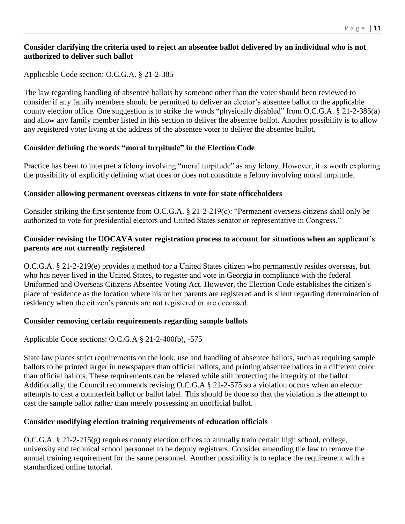#### **Consider clarifying the criteria used to reject an absentee ballot delivered by an individual who is not authorized to deliver such ballot**

#### Applicable Code section: O.C.G.A. § 21-2-385

The law regarding handling of absentee ballots by someone other than the voter should been reviewed to consider if any family members should be permitted to deliver an elector's absentee ballot to the applicable county election office. One suggestion is to strike the words "physically disabled" from O.C.G.A. § 21-2-385(a) and allow any family member listed in this section to deliver the absentee ballot. Another possibility is to allow any registered voter living at the address of the absentee voter to deliver the absentee ballot.

#### **Consider defining the words "moral turpitude" in the Election Code**

Practice has been to interpret a felony involving "moral turpitude" as any felony. However, it is worth exploring the possibility of explicitly defining what does or does not constitute a felony involving moral turpitude.

#### **Consider allowing permanent overseas citizens to vote for state officeholders**

Consider striking the first sentence from O.C.G.A. § 21-2-219(c): "Permanent overseas citizens shall only be authorized to vote for presidential electors and United States senator or representative in Congress."

#### **Consider revising the UOCAVA voter registration process to account for situations when an applicant's parents are not currently registered**

O.C.G.A. § 21-2-219(e) provides a method for a United States citizen who permanently resides overseas, but who has never lived in the United States, to register and vote in Georgia in compliance with the federal Uniformed and Overseas Citizens Absentee Voting Act. However, the Election Code establishes the citizen's place of residence as the location where his or her parents are registered and is silent regarding determination of residency when the citizen's parents are not registered or are deceased.

#### **Consider removing certain requirements regarding sample ballots**

Applicable Code sections: O.C.G.A § 21-2-400(b), -575

State law places strict requirements on the look, use and handling of absentee ballots, such as requiring sample ballots to be printed larger in newspapers than official ballots, and printing absentee ballots in a different color than official ballots. These requirements can be relaxed while still protecting the integrity of the ballot. Additionally, the Council recommends revising O.C.G.A § 21-2-575 so a violation occurs when an elector attempts to cast a counterfeit ballot or ballot label. This should be done so that the violation is the attempt to cast the sample ballot rather than merely possessing an unofficial ballot.

#### **Consider modifying election training requirements of education officials**

O.C.G.A. § 21-2-215(g) requires county election offices to annually train certain high school, college, university and technical school personnel to be deputy registrars. Consider amending the law to remove the annual training requirement for the same personnel. Another possibility is to replace the requirement with a standardized online tutorial.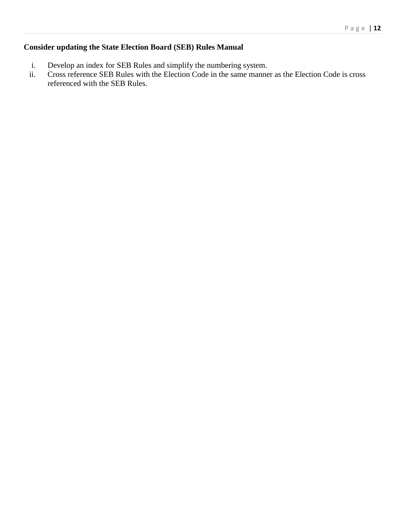## **Consider updating the State Election Board (SEB) Rules Manual**

- i. Develop an index for SEB Rules and simplify the numbering system.
- ii. Cross reference SEB Rules with the Election Code in the same manner as the Election Code is cross referenced with the SEB Rules.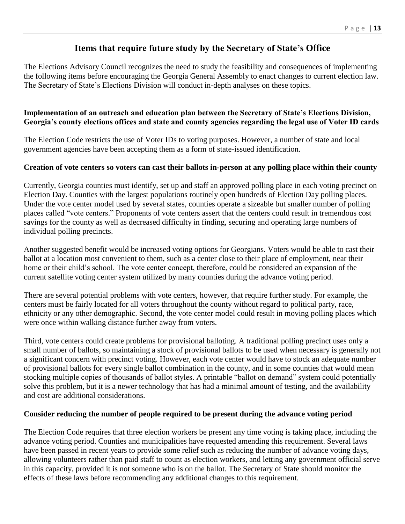## **Items that require future study by the Secretary of State's Office**

The Elections Advisory Council recognizes the need to study the feasibility and consequences of implementing the following items before encouraging the Georgia General Assembly to enact changes to current election law. The Secretary of State's Elections Division will conduct in-depth analyses on these topics.

#### **Implementation of an outreach and education plan between the Secretary of State's Elections Division, Georgia's county elections offices and state and county agencies regarding the legal use of Voter ID cards**

The Election Code restricts the use of Voter IDs to voting purposes. However, a number of state and local government agencies have been accepting them as a form of state-issued identification.

#### **Creation of vote centers so voters can cast their ballots in-person at any polling place within their county**

Currently, Georgia counties must identify, set up and staff an approved polling place in each voting precinct on Election Day. Counties with the largest populations routinely open hundreds of Election Day polling places. Under the vote center model used by several states, counties operate a sizeable but smaller number of polling places called "vote centers." Proponents of vote centers assert that the centers could result in tremendous cost savings for the county as well as decreased difficulty in finding, securing and operating large numbers of individual polling precincts.

Another suggested benefit would be increased voting options for Georgians. Voters would be able to cast their ballot at a location most convenient to them, such as a center close to their place of employment, near their home or their child's school. The vote center concept, therefore, could be considered an expansion of the current satellite voting center system utilized by many counties during the advance voting period.

There are several potential problems with vote centers, however, that require further study. For example, the centers must be fairly located for all voters throughout the county without regard to political party, race, ethnicity or any other demographic. Second, the vote center model could result in moving polling places which were once within walking distance further away from voters.

Third, vote centers could create problems for provisional balloting. A traditional polling precinct uses only a small number of ballots, so maintaining a stock of provisional ballots to be used when necessary is generally not a significant concern with precinct voting. However, each vote center would have to stock an adequate number of provisional ballots for every single ballot combination in the county, and in some counties that would mean stocking multiple copies of thousands of ballot styles. A printable "ballot on demand" system could potentially solve this problem, but it is a newer technology that has had a minimal amount of testing, and the availability and cost are additional considerations.

#### **Consider reducing the number of people required to be present during the advance voting period**

The Election Code requires that three election workers be present any time voting is taking place, including the advance voting period. Counties and municipalities have requested amending this requirement. Several laws have been passed in recent years to provide some relief such as reducing the number of advance voting days, allowing volunteers rather than paid staff to count as election workers, and letting any government official serve in this capacity, provided it is not someone who is on the ballot. The Secretary of State should monitor the effects of these laws before recommending any additional changes to this requirement.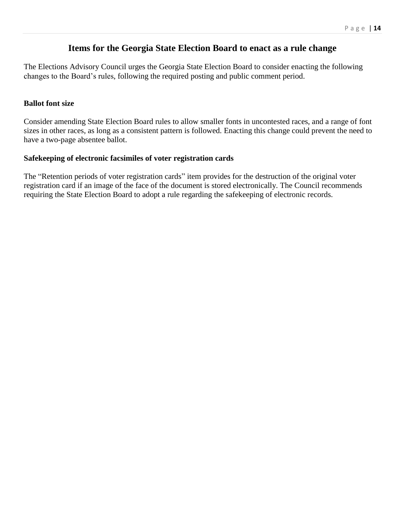## **Items for the Georgia State Election Board to enact as a rule change**

The Elections Advisory Council urges the Georgia State Election Board to consider enacting the following changes to the Board's rules, following the required posting and public comment period.

#### **Ballot font size**

Consider amending State Election Board rules to allow smaller fonts in uncontested races, and a range of font sizes in other races, as long as a consistent pattern is followed. Enacting this change could prevent the need to have a two-page absentee ballot.

#### **Safekeeping of electronic facsimiles of voter registration cards**

The "Retention periods of voter registration cards" item provides for the destruction of the original voter registration card if an image of the face of the document is stored electronically. The Council recommends requiring the State Election Board to adopt a rule regarding the safekeeping of electronic records.